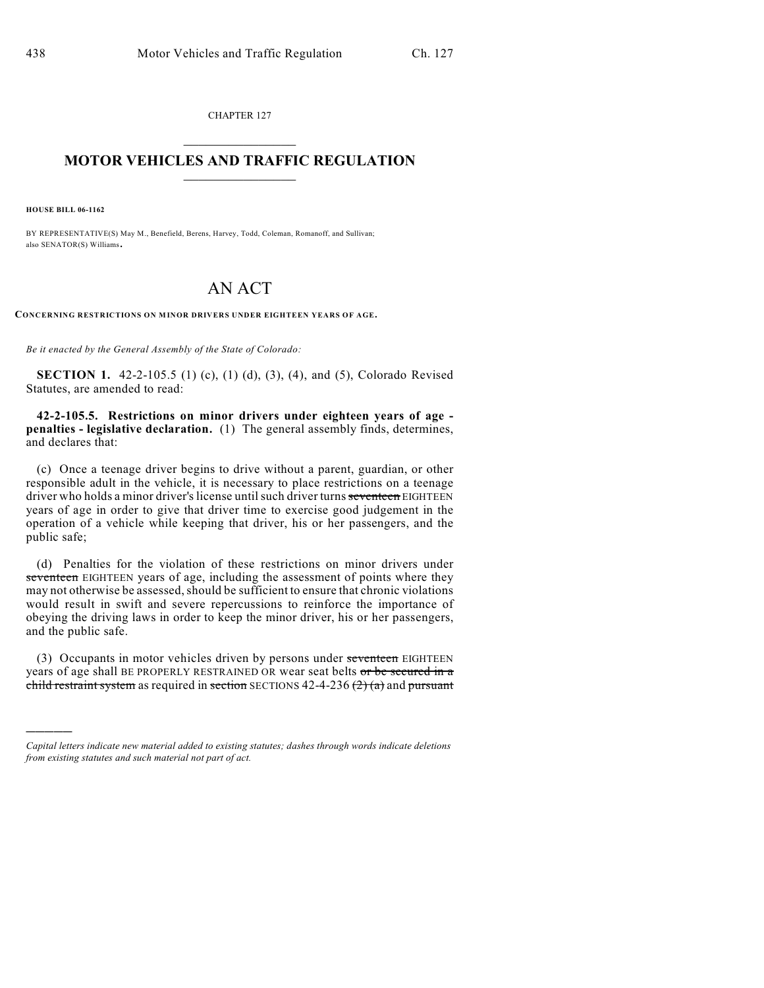CHAPTER 127

## $\mathcal{L}_\text{max}$  . The set of the set of the set of the set of the set of the set of the set of the set of the set of the set of the set of the set of the set of the set of the set of the set of the set of the set of the set **MOTOR VEHICLES AND TRAFFIC REGULATION**  $\frac{1}{2}$  ,  $\frac{1}{2}$  ,  $\frac{1}{2}$  ,  $\frac{1}{2}$  ,  $\frac{1}{2}$  ,  $\frac{1}{2}$  ,  $\frac{1}{2}$  ,  $\frac{1}{2}$

**HOUSE BILL 06-1162**

)))))

BY REPRESENTATIVE(S) May M., Benefield, Berens, Harvey, Todd, Coleman, Romanoff, and Sullivan; also SENATOR(S) Williams.

## AN ACT

**CONCERNING RESTRICTIONS ON MINOR DRIVERS UNDER EIGHTEEN YEARS OF AGE.**

*Be it enacted by the General Assembly of the State of Colorado:*

**SECTION 1.** 42-2-105.5 (1) (c), (1) (d), (3), (4), and (5), Colorado Revised Statutes, are amended to read:

**42-2-105.5. Restrictions on minor drivers under eighteen years of age penalties - legislative declaration.** (1) The general assembly finds, determines, and declares that:

(c) Once a teenage driver begins to drive without a parent, guardian, or other responsible adult in the vehicle, it is necessary to place restrictions on a teenage driver who holds a minor driver's license until such driver turns seventeen EIGHTEEN years of age in order to give that driver time to exercise good judgement in the operation of a vehicle while keeping that driver, his or her passengers, and the public safe;

(d) Penalties for the violation of these restrictions on minor drivers under seventeen EIGHTEEN years of age, including the assessment of points where they may not otherwise be assessed, should be sufficient to ensure that chronic violations would result in swift and severe repercussions to reinforce the importance of obeying the driving laws in order to keep the minor driver, his or her passengers, and the public safe.

(3) Occupants in motor vehicles driven by persons under seventeen EIGHTEEN years of age shall BE PROPERLY RESTRAINED OR wear seat belts or be secured in a child restraint system as required in section SECTIONS 42-4-236  $(2)$  (a) and pursuant

*Capital letters indicate new material added to existing statutes; dashes through words indicate deletions from existing statutes and such material not part of act.*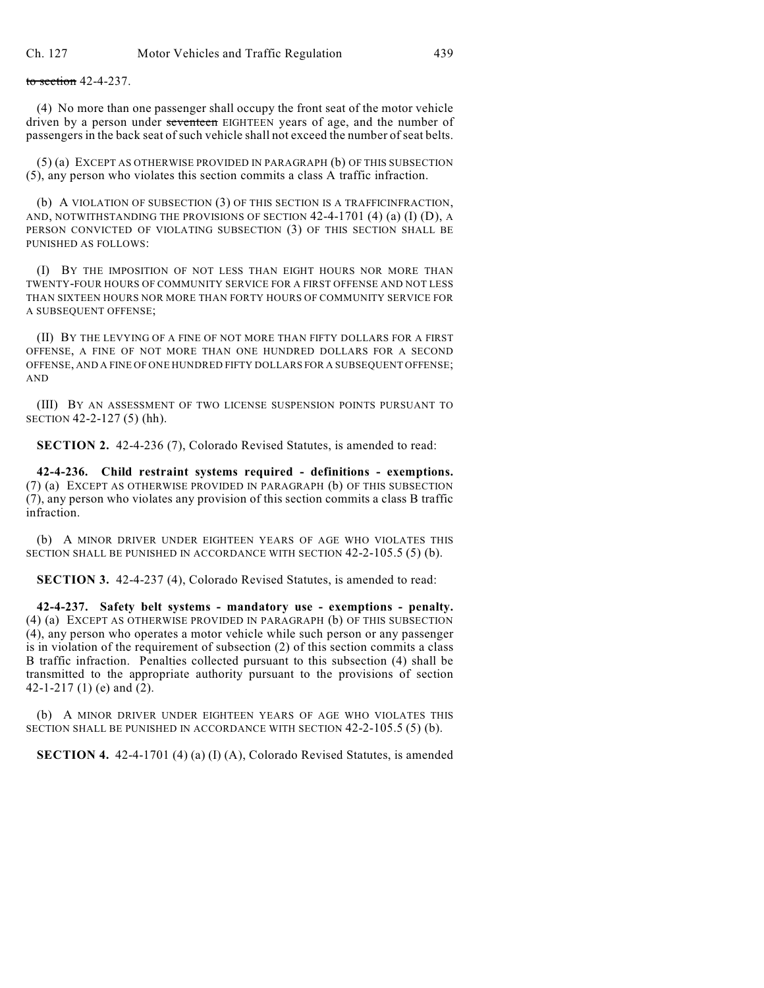to section 42-4-237.

(4) No more than one passenger shall occupy the front seat of the motor vehicle driven by a person under seventeen EIGHTEEN years of age, and the number of passengers in the back seat of such vehicle shall not exceed the number of seat belts.

(5) (a) EXCEPT AS OTHERWISE PROVIDED IN PARAGRAPH (b) OF THIS SUBSECTION (5), any person who violates this section commits a class A traffic infraction.

(b) A VIOLATION OF SUBSECTION (3) OF THIS SECTION IS A TRAFFICINFRACTION, AND, NOTWITHSTANDING THE PROVISIONS OF SECTION 42-4-1701 (4) (a) (I) (D), A PERSON CONVICTED OF VIOLATING SUBSECTION (3) OF THIS SECTION SHALL BE PUNISHED AS FOLLOWS:

(I) BY THE IMPOSITION OF NOT LESS THAN EIGHT HOURS NOR MORE THAN TWENTY-FOUR HOURS OF COMMUNITY SERVICE FOR A FIRST OFFENSE AND NOT LESS THAN SIXTEEN HOURS NOR MORE THAN FORTY HOURS OF COMMUNITY SERVICE FOR A SUBSEQUENT OFFENSE;

(II) BY THE LEVYING OF A FINE OF NOT MORE THAN FIFTY DOLLARS FOR A FIRST OFFENSE, A FINE OF NOT MORE THAN ONE HUNDRED DOLLARS FOR A SECOND OFFENSE, AND A FINE OF ONE HUNDRED FIFTY DOLLARS FOR A SUBSEQUENT OFFENSE; AND

(III) BY AN ASSESSMENT OF TWO LICENSE SUSPENSION POINTS PURSUANT TO SECTION 42-2-127 (5) (hh).

**SECTION 2.** 42-4-236 (7), Colorado Revised Statutes, is amended to read:

**42-4-236. Child restraint systems required - definitions - exemptions.** (7) (a) EXCEPT AS OTHERWISE PROVIDED IN PARAGRAPH (b) OF THIS SUBSECTION (7), any person who violates any provision of this section commits a class B traffic infraction.

(b) A MINOR DRIVER UNDER EIGHTEEN YEARS OF AGE WHO VIOLATES THIS SECTION SHALL BE PUNISHED IN ACCORDANCE WITH SECTION 42-2-105.5 (5) (b).

**SECTION 3.** 42-4-237 (4), Colorado Revised Statutes, is amended to read:

**42-4-237. Safety belt systems - mandatory use - exemptions - penalty.** (4) (a) EXCEPT AS OTHERWISE PROVIDED IN PARAGRAPH (b) OF THIS SUBSECTION (4), any person who operates a motor vehicle while such person or any passenger is in violation of the requirement of subsection (2) of this section commits a class B traffic infraction. Penalties collected pursuant to this subsection (4) shall be transmitted to the appropriate authority pursuant to the provisions of section 42-1-217 (1) (e) and (2).

(b) A MINOR DRIVER UNDER EIGHTEEN YEARS OF AGE WHO VIOLATES THIS SECTION SHALL BE PUNISHED IN ACCORDANCE WITH SECTION 42-2-105.5 (5) (b).

**SECTION 4.** 42-4-1701 (4) (a) (I) (A), Colorado Revised Statutes, is amended